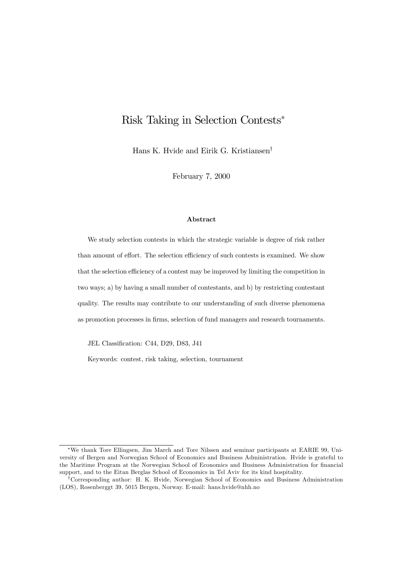# Risk Taking in Selection Contests\*

Hans K. Hvide and Eirik G. Kristiansen<sup>†</sup>

February 7, 2000

#### Abstract

We study selection contests in which the strategic variable is degree of risk rather than amount of effort. The selection efficiency of such contests is examined. We show that the selection efficiency of a contest may be improved by limiting the competition in two ways; a) by having a small number of contestants, and b) by restricting contestant quality. The results may contribute to our understanding of such diverse phenomena as promotion processes in firms, selection of fund managers and research tournaments.

JEL Classification: C44, D29, D83, J41

Keywords: contest, risk taking, selection, tournament

<sup>¤</sup>We thank Tore Ellingsen, Jim March and Tore Nilssen and seminar participants at EARIE 99, University of Bergen and Norwegian School of Economics and Business Administration. Hvide is grateful to the Maritime Program at the Norwegian School of Economics and Business Administration for financial support, and to the Eitan Berglas School of Economics in Tel Aviv for its kind hospitality.

<sup>y</sup>Corresponding author: H. K. Hvide, Norwegian School of Economics and Business Administration (LOS), Rosenberggt 39, 5015 Bergen, Norway. E-mail: hans.hvide@nhh.no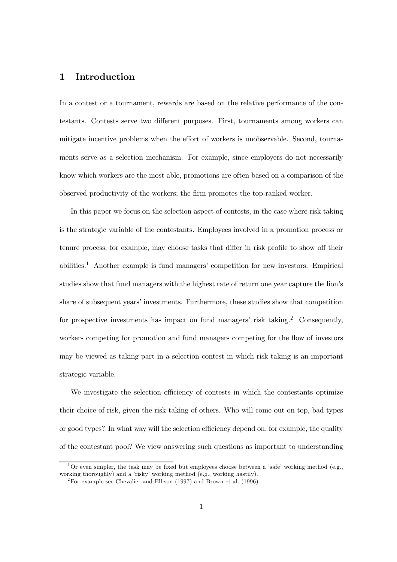### 1 Introduction

In a contest or a tournament, rewards are based on the relative performance of the contestants. Contests serve two different purposes. First, tournaments among workers can mitigate incentive problems when the effort of workers is unobservable. Second, tournaments serve as a selection mechanism. For example, since employers do not necessarily know which workers are the most able, promotions are often based on a comparison of the observed productivity of the workers; the firm promotes the top-ranked worker.

In this paper we focus on the selection aspect of contests, in the case where risk taking is the strategic variable of the contestants. Employees involved in a promotion process or tenure process, for example, may choose tasks that differ in risk profile to show off their abilities.1 Another example is fund managers' competition for new investors. Empirical studies show that fund managers with the highest rate of return one year capture the lion's share of subsequent years' investments. Furthermore, these studies show that competition for prospective investments has impact on fund managers' risk taking.<sup>2</sup> Consequently, workers competing for promotion and fund managers competing for the flow of investors may be viewed as taking part in a selection contest in which risk taking is an important strategic variable.

We investigate the selection efficiency of contests in which the contestants optimize their choice of risk, given the risk taking of others. Who will come out on top, bad types or good types? In what way will the selection efficiency depend on, for example, the quality of the contestant pool? We view answering such questions as important to understanding

<sup>&</sup>lt;sup>1</sup>Or even simpler, the task may be fixed but employees choose between a 'safe' working method (e.g., working thoroughly) and a 'risky' working method (e.g., working hastily).

<sup>&</sup>lt;sup>2</sup>For example see Chevalier and Ellison (1997) and Brown et al. (1996).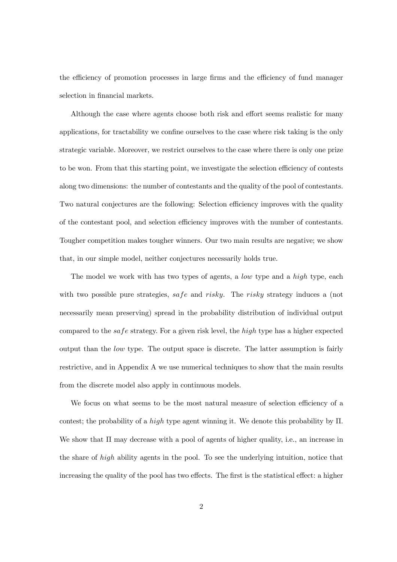the efficiency of promotion processes in large firms and the efficiency of fund manager selection in financial markets.

Although the case where agents choose both risk and effort seems realistic for many applications, for tractability we confine ourselves to the case where risk taking is the only strategic variable. Moreover, we restrict ourselves to the case where there is only one prize to be won. From that this starting point, we investigate the selection efficiency of contests along two dimensions: the number of contestants and the quality of the pool of contestants. Two natural conjectures are the following: Selection efficiency improves with the quality of the contestant pool, and selection efficiency improves with the number of contestants. Tougher competition makes tougher winners. Our two main results are negative; we show that, in our simple model, neither conjectures necessarily holds true.

The model we work with has two types of agents, a *low* type and a *high* type, each with two possible pure strategies, safe and risky. The risky strategy induces a (not necessarily mean preserving) spread in the probability distribution of individual output compared to the safe strategy. For a given risk level, the high type has a higher expected output than the low type. The output space is discrete. The latter assumption is fairly restrictive, and in Appendix A we use numerical techniques to show that the main results from the discrete model also apply in continuous models.

We focus on what seems to be the most natural measure of selection efficiency of a contest; the probability of a *high* type agent winning it. We denote this probability by  $\Pi$ . We show that  $\Pi$  may decrease with a pool of agents of higher quality, i.e., an increase in the share of high ability agents in the pool. To see the underlying intuition, notice that increasing the quality of the pool has two effects. The first is the statistical effect: a higher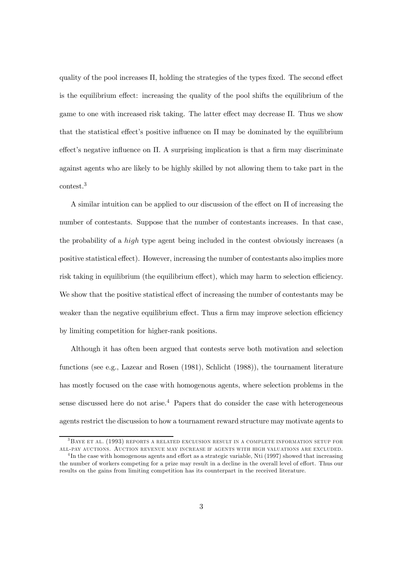quality of the pool increases  $\Pi$ , holding the strategies of the types fixed. The second effect is the equilibrium effect: increasing the quality of the pool shifts the equilibrium of the game to one with increased risk taking. The latter effect may decrease  $\Pi$ . Thus we show that the statistical effect's positive influence on  $\Pi$  may be dominated by the equilibrium effect's negative influence on  $\Pi$ . A surprising implication is that a firm may discriminate against agents who are likely to be highly skilled by not allowing them to take part in the contest.<sup>3</sup>

A similar intuition can be applied to our discussion of the effect on  $\Pi$  of increasing the number of contestants. Suppose that the number of contestants increases. In that case, the probability of a high type agent being included in the contest obviously increases (a positive statistical effect). However, increasing the number of contestants also implies more risk taking in equilibrium (the equilibrium effect), which may harm to selection efficiency. We show that the positive statistical effect of increasing the number of contestants may be weaker than the negative equilibrium effect. Thus a firm may improve selection efficiency by limiting competition for higher-rank positions.

Although it has often been argued that contests serve both motivation and selection functions (see e.g., Lazear and Rosen (1981), Schlicht (1988)), the tournament literature has mostly focused on the case with homogenous agents, where selection problems in the sense discussed here do not arise.<sup>4</sup> Papers that do consider the case with heterogeneous agents restrict the discussion to how a tournament reward structure may motivate agents to

<sup>3</sup>Baye et al. (1993) reports a related exclusion result in a complete information setup for all-pay auctions. Auction revenue may increase if agents with high valuations are excluded.

<sup>&</sup>lt;sup>4</sup>In the case with homogenous agents and effort as a strategic variable, Nti (1997) showed that increasing the number of workers competing for a prize may result in a decline in the overall level of effort. Thus our results on the gains from limiting competition has its counterpart in the received literature.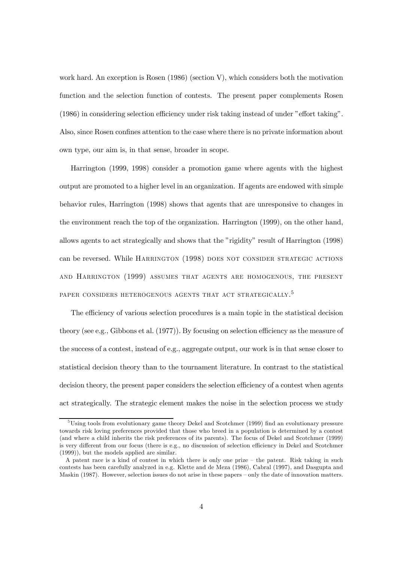work hard. An exception is Rosen (1986) (section V), which considers both the motivation function and the selection function of contests. The present paper complements Rosen  $(1986)$  in considering selection efficiency under risk taking instead of under "effort taking". Also, since Rosen confines attention to the case where there is no private information about own type, our aim is, in that sense, broader in scope.

Harrington (1999, 1998) consider a promotion game where agents with the highest output are promoted to a higher level in an organization. If agents are endowed with simple behavior rules, Harrington (1998) shows that agents that are unresponsive to changes in the environment reach the top of the organization. Harrington (1999), on the other hand, allows agents to act strategically and shows that the "rigidity" result of Harrington (1998) can be reversed. While HARRINGTON (1998) DOES NOT CONSIDER STRATEGIC ACTIONS and Harrington (1999) assumes that agents are homogenous, the present paper considers heterogenous agents that act strategically.<sup>5</sup>

The efficiency of various selection procedures is a main topic in the statistical decision theory (see e.g., Gibbons et al.  $(1977)$ ). By focusing on selection efficiency as the measure of the success of a contest, instead of e.g., aggregate output, our work is in that sense closer to statistical decision theory than to the tournament literature. In contrast to the statistical decision theory, the present paper considers the selection efficiency of a contest when agents act strategically. The strategic element makes the noise in the selection process we study

 $5\text{Using tools from evolutionary game theory Dekel and ScottMmer (1999) find an evolutionary pressure.}$ towards risk loving preferences provided that those who breed in a population is determined by a contest (and where a child inherits the risk preferences of its parents). The focus of Dekel and Scotchmer (1999) is very different from our focus (there is e.g., no discussion of selection efficiency in Dekel and Scotchmer (1999)), but the models applied are similar.

A patent race is a kind of contest in which there is only one prize – the patent. Risk taking in such contests has been carefully analyzed in e.g. Klette and de Meza (1986), Cabral (1997), and Dasgupta and Maskin (1987). However, selection issues do not arise in these papers – only the date of innovation matters.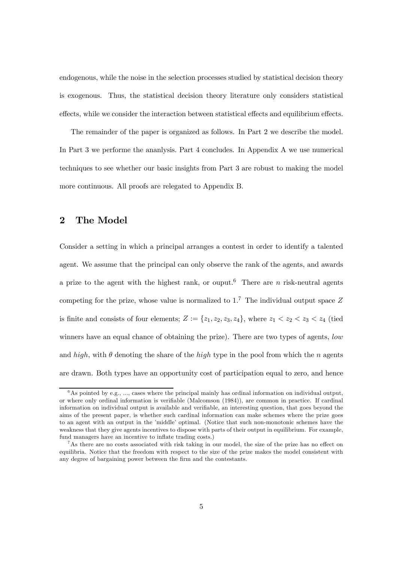endogenous, while the noise in the selection processes studied by statistical decision theory is exogenous. Thus, the statistical decision theory literature only considers statistical effects, while we consider the interaction between statistical effects and equilibrium effects.

The remainder of the paper is organized as follows. In Part 2 we describe the model. In Part 3 we performe the ananlysis. Part 4 concludes. In Appendix A we use numerical techniques to see whether our basic insights from Part 3 are robust to making the model more continuous. All proofs are relegated to Appendix B.

# 2 The Model

Consider a setting in which a principal arranges a contest in order to identify a talented agent. We assume that the principal can only observe the rank of the agents, and awards a prize to the agent with the highest rank, or ouput.<sup>6</sup> There are n risk-neutral agents competing for the prize, whose value is normalized to  $1<sup>7</sup>$ . The individual output space Z is finite and consists of four elements;  $Z := \{z_1, z_2, z_3, z_4\}$ , where  $z_1 < z_2 < z_3 < z_4$  (tied winners have an equal chance of obtaining the prize). There are two types of agents, low and high, with  $\theta$  denoting the share of the high type in the pool from which the n agents are drawn. Both types have an opportunity cost of participation equal to zero, and hence

 $6$ As pointed by e.g., ..., cases where the principal mainly has ordinal information on individual output, or where only ordinal information is verifiable (Malcomson  $(1984)$ ), are common in practice. If cardinal information on individual output is available and verifiable, an interesting question, that goes beyond the aims of the present paper, is whether such cardinal information can make schemes where the prize goes to an agent with an output in the 'middle' optimal. (Notice that such non-monotonic schemes have the weakness that they give agents incentives to dispose with parts of their output in equilibrium. For example, fund managers have an incentive to inflate trading costs.)

 $^7$ As there are no costs associated with risk taking in our model, the size of the prize has no effect on equilibria. Notice that the freedom with respect to the size of the prize makes the model consistent with any degree of bargaining power between the firm and the contestants.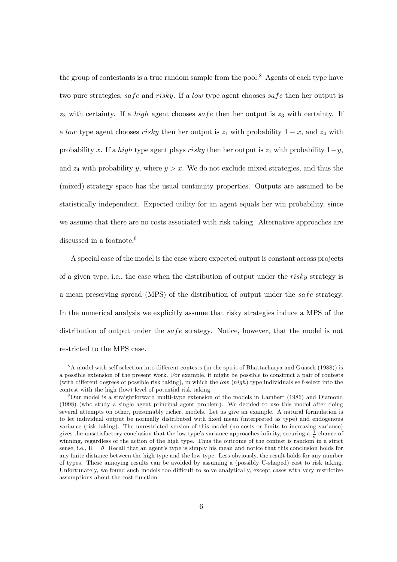the group of contestants is a true random sample from the pool.<sup>8</sup> Agents of each type have two pure strategies, safe and risky. If a low type agent chooses safe then her output is  $z_2$  with certainty. If a *high* agent chooses safe then her output is  $z_3$  with certainty. If a low type agent chooses risky then her output is  $z_1$  with probability  $1 - x$ , and  $z_4$  with probability x. If a high type agent plays risky then her output is  $z_1$  with probability  $1-y$ , and  $z_4$  with probability y, where  $y>x$ . We do not exclude mixed strategies, and thus the (mixed) strategy space has the usual continuity properties. Outputs are assumed to be statistically independent. Expected utility for an agent equals her win probability, since we assume that there are no costs associated with risk taking. Alternative approaches are discussed in a footnote.<sup>9</sup>

A special case of the model is the case where expected output is constant across projects of a given type, i.e., the case when the distribution of output under the risky strategy is a mean preserving spread (MPS) of the distribution of output under the safe strategy. In the numerical analysis we explicitly assume that risky strategies induce a MPS of the distribution of output under the safe strategy. Notice, however, that the model is not restricted to the MPS case.

 $8A$  model with self-selection into different contests (in the spirit of Bhattacharya and Guasch (1988)) is a possible extension of the present work. For example, it might be possible to construct a pair of contests (with different degrees of possible risk taking), in which the low  $(high)$  type individuals self-select into the contest with the high (low) level of potential risk taking.

 $9$ Our model is a straightforward multi-type extension of the models in Lambert (1986) and Diamond (1998) (who study a single agent principal agent problem). We decided to use this model after doing several attempts on other, presumably richer, models. Let us give an example. A natural formulation is to let individual output be normally distributed with fixed mean (interpreted as type) and endogenous variance (risk taking). The unrestricted version of this model (no costs or limits to increasing variance) gives the unsatisfactory conclusion that the low type's variance approaches infinity, securing a  $\frac{1}{n}$  chance of winning, regardless of the action of the high type. Thus the outcome of the contest is random in a strict sense, i.e.,  $\Pi = \theta$ . Recall that an agent's type is simply his mean and notice that this conclusion holds for any finite distance between the high type and the low type. Less obviously, the result holds for any number of types. These annoying results can be avoided by assuming a (possibly U-shaped) cost to risk taking. Unfortunately, we found such models too difficult to solve analytically, except cases with very restrictive assumptions about the cost function.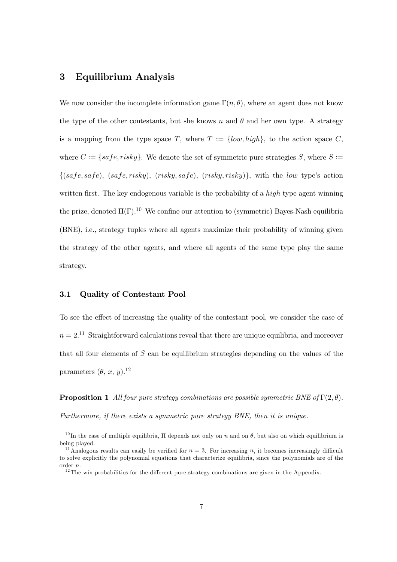### 3 Equilibrium Analysis

We now consider the incomplete information game  $\Gamma(n, \theta)$ , where an agent does not know the type of the other contestants, but she knows n and  $\theta$  and her own type. A strategy is a mapping from the type space T, where  $T := \{low, high\}$ , to the action space C, where  $C := \{safe, risky\}$ . We denote the set of symmetric pure strategies S, where  $S :=$  $\{(safe, safe), (safe, risky), (risky, safe), (risky, risky)\},$  with the low type's action written first. The key endogenous variable is the probability of a  $high$  type agent winning the prize, denoted  $\Pi(\Gamma)$ .<sup>10</sup> We confine our attention to (symmetric) Bayes-Nash equilibria (BNE), i.e., strategy tuples where all agents maximize their probability of winning given the strategy of the other agents, and where all agents of the same type play the same strategy.

#### 3.1 Quality of Contestant Pool

To see the effect of increasing the quality of the contestant pool, we consider the case of  $n = 2$ <sup>11</sup> Straightforward calculations reveal that there are unique equilibria, and moreover that all four elements of  $S$  can be equilibrium strategies depending on the values of the parameters  $(\theta, x, y)$ .<sup>12</sup>

**Proposition 1** All four pure strategy combinations are possible symmetric BNE of  $\Gamma(2, \theta)$ . Furthermore, if there exists a symmetric pure strategy BNE, then it is unique.

<sup>&</sup>lt;sup>10</sup>In the case of multiple equilibria,  $\Pi$  depends not only on n and on  $\theta$ , but also on which equilibrium is being played.

<sup>&</sup>lt;sup>11</sup>Analogous results can easily be verified for  $n = 3$ . For increasing n, it becomes increasingly difficult to solve explicitly the polynomial equations that characterize equilibria, since the polynomials are of the order n.

 $12$ <sup>12</sup>The win probabilities for the different pure strategy combinations are given in the Appendix.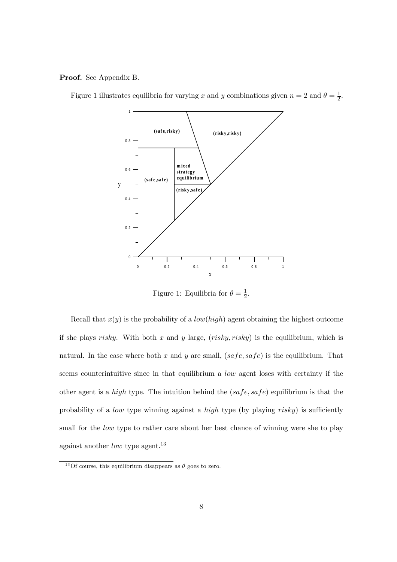Proof. See Appendix B.



Figure 1 illustrates equilibria for varying x and y combinations given  $n = 2$  and  $\theta = \frac{1}{2}$ .

Figure 1: Equilibria for  $\theta = \frac{1}{2}$ .

Recall that  $x(y)$  is the probability of a *low(high)* agent obtaining the highest outcome if she plays risky. With both x and y large,  $(risky, risky)$  is the equilibrium, which is natural. In the case where both x and y are small,  $(safe, safe)$  is the equilibrium. That seems counterintuitive since in that equilibrium a low agent loses with certainty if the other agent is a *high* type. The intuition behind the  $(safe, safe)$  equilibrium is that the probability of a *low* type winning against a *high* type (by playing  $risky$ ) is sufficiently small for the *low* type to rather care about her best chance of winning were she to play against another *low* type agent.<sup>13</sup>

<sup>&</sup>lt;sup>13</sup>Of course, this equilibrium disappears as  $\theta$  goes to zero.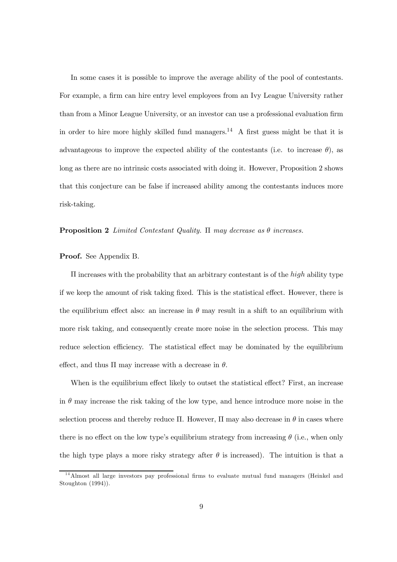In some cases it is possible to improve the average ability of the pool of contestants. For example, a firm can hire entry level employees from an Ivy League University rather than from a Minor League University, or an investor can use a professional evaluation firm in order to hire more highly skilled fund managers.<sup>14</sup> A first guess might be that it is advantageous to improve the expected ability of the contestants (i.e. to increase  $\theta$ ), as long as there are no intrinsic costs associated with doing it. However, Proposition 2 shows that this conjecture can be false if increased ability among the contestants induces more risk-taking.

#### **Proposition 2** Limited Contestant Quality.  $\Pi$  may decrease as  $\theta$  increases.

#### Proof. See Appendix B.

 $\bar{\Pi}$  increases with the probability that an arbitrary contestant is of the *high* ability type if we keep the amount of risk taking fixed. This is the statistical effect. However, there is the equilibrium effect also: an increase in  $\theta$  may result in a shift to an equilibrium with more risk taking, and consequently create more noise in the selection process. This may reduce selection efficiency. The statistical effect may be dominated by the equilibrium effect, and thus  $\Pi$  may increase with a decrease in  $\theta$ .

When is the equilibrium effect likely to outset the statistical effect? First, an increase in  $\theta$  may increase the risk taking of the low type, and hence introduce more noise in the selection process and thereby reduce  $\Pi$ . However,  $\Pi$  may also decrease in  $\theta$  in cases where there is no effect on the low type's equilibrium strategy from increasing  $\theta$  (i.e., when only the high type plays a more risky strategy after  $\theta$  is increased). The intuition is that a

 $14$ Almost all large investors pay professional firms to evaluate mutual fund managers (Heinkel and Stoughton (1994)).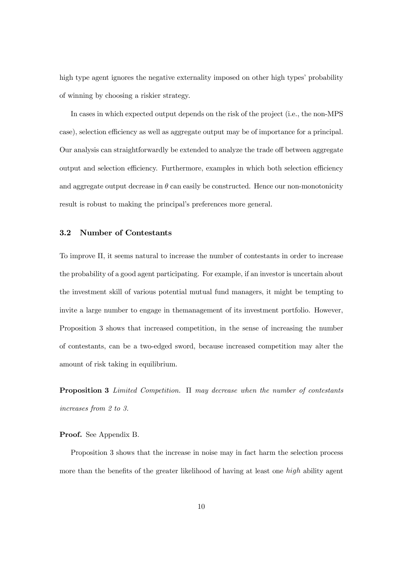high type agent ignores the negative externality imposed on other high types' probability of winning by choosing a riskier strategy.

In cases in which expected output depends on the risk of the project (i.e., the non-MPS case), selection efficiency as well as aggregate output may be of importance for a principal. Our analysis can straightforwardly be extended to analyze the trade off between aggregate output and selection efficiency. Furthermore, examples in which both selection efficiency and aggregate output decrease in  $\theta$  can easily be constructed. Hence our non-monotonicity result is robust to making the principal's preferences more general.

#### 3.2 Number of Contestants

To improve  $\Pi$ , it seems natural to increase the number of contestants in order to increase the probability of a good agent participating. For example, if an investor is uncertain about the investment skill of various potential mutual fund managers, it might be tempting to invite a large number to engage in themanagement of its investment portfolio. However, Proposition 3 shows that increased competition, in the sense of increasing the number of contestants, can be a two-edged sword, because increased competition may alter the amount of risk taking in equilibrium.

**Proposition 3** Limited Competition.  $\Pi$  may decrease when the number of contestants increases from 2 to 3.

#### Proof. See Appendix B.

Proposition 3 shows that the increase in noise may in fact harm the selection process more than the benefits of the greater likelihood of having at least one  $high$  ability agent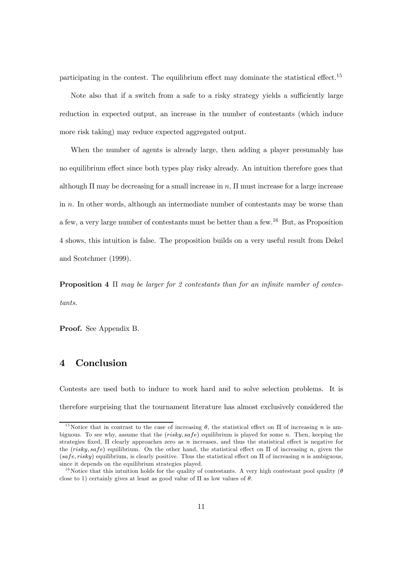participating in the contest. The equilibrium effect may dominate the statistical effect.<sup>15</sup>

Note also that if a switch from a safe to a risky strategy yields a sufficiently large reduction in expected output, an increase in the number of contestants (which induce more risk taking) may reduce expected aggregated output.

When the number of agents is already large, then adding a player presumably has no equilibrium effect since both types play risky already. An intuition therefore goes that although  $\Pi$  may be decreasing for a small increase in n,  $\Pi$  must increase for a large increase in  $n$ . In other words, although an intermediate number of contestants may be worse than a few, a very large number of contestants must be better than a few.16 But, as Proposition 4 shows, this intuition is false. The proposition builds on a very useful result from Dekel and Scotchmer (1999).

**Proposition 4**  $\Pi$  may be larger for 2 contestants than for an infinite number of contestants.

Proof. See Appendix B.

## 4 Conclusion

Contests are used both to induce to work hard and to solve selection problems. It is therefore surprising that the tournament literature has almost exclusively considered the

<sup>&</sup>lt;sup>15</sup>Notice that in contrast to the case of increasing  $\theta$ , the statistical effect on  $\Pi$  of increasing *n* is ambiguous. To see why, assume that the  $(risky, safe)$  equilibrium is played for some n. Then, keeping the strategies fixed,  $\Pi$  clearly approaches zero as n increases, and thus the statistical effect is negative for the  $(risky, safe)$  equilibrium. On the other hand, the statistical effect on  $\Pi$  of increasing n, given the  $(safe, risky)$  equilibrium, is clearly positive. Thus the statistical effect on  $\Pi$  of increasing n is ambiguous, since it depends on the equilibrium strategies played.

<sup>&</sup>lt;sup>16</sup>Notice that this intuition holds for the quality of contestants. A very high contestant pool quality ( $\theta$ ) close to 1) certainly gives at least as good value of  $\Pi$  as low values of  $\theta$ .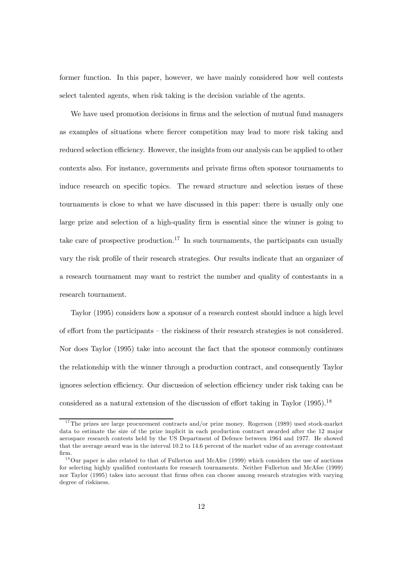former function. In this paper, however, we have mainly considered how well contests select talented agents, when risk taking is the decision variable of the agents.

We have used promotion decisions in firms and the selection of mutual fund managers as examples of situations where fiercer competition may lead to more risk taking and reduced selection efficiency. However, the insights from our analysis can be applied to other contexts also. For instance, governments and private firms often sponsor tournaments to induce research on specific topics. The reward structure and selection issues of these tournaments is close to what we have discussed in this paper: there is usually only one large prize and selection of a high-quality firm is essential since the winner is going to take care of prospective production.<sup>17</sup> In such tournaments, the participants can usually vary the risk profile of their research strategies. Our results indicate that an organizer of a research tournament may want to restrict the number and quality of contestants in a research tournament.

Taylor (1995) considers how a sponsor of a research contest should induce a high level of effort from the participants – the riskiness of their research strategies is not considered. Nor does Taylor (1995) take into account the fact that the sponsor commonly continues the relationship with the winner through a production contract, and consequently Taylor ignores selection efficiency. Our discussion of selection efficiency under risk taking can be considered as a natural extension of the discussion of effort taking in Taylor  $(1995)$ .<sup>18</sup>

 $17$ The prizes are large procurement contracts and/or prize money. Rogerson (1989) used stock-market data to estimate the size of the prize implicit in each production contract awarded after the 12 major aerospace research contests held by the US Department of Defence between 1964 and 1977. He showed that the average award was in the interval 10.2 to 14.6 percent of the market value of an average contestant firm.

 $18$ Our paper is also related to that of Fullerton and McAfee (1999) which considers the use of auctions for selecting highly qualified contestants for research tournaments. Neither Fullerton and McAfee (1999) nor Taylor (1995) takes into account that firms often can choose among research strategies with varying degree of riskiness.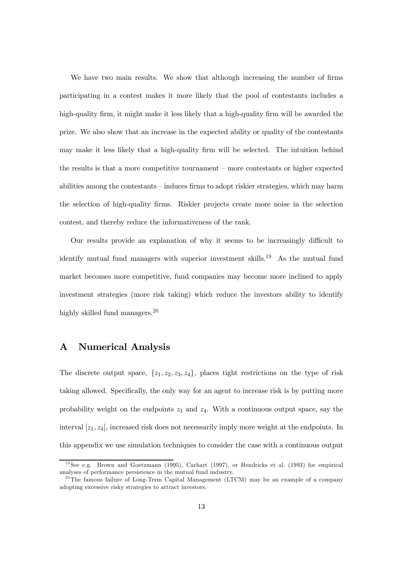We have two main results. We show that although increasing the number of firms participating in a contest makes it more likely that the pool of contestants includes a high-quality firm, it might make it less likely that a high-quality firm will be awarded the prize. We also show that an increase in the expected ability or quality of the contestants may make it less likely that a high-quality firm will be selected. The intuition behind the results is that a more competitive tournament – more contestants or higher expected abilities among the contestants – induces firms to adopt riskier strategies, which may harm the selection of high-quality firms. Riskier projects create more noise in the selection contest, and thereby reduce the informativeness of the rank.

Our results provide an explanation of why it seems to be increasingly difficult to identify mutual fund managers with superior investment skills.<sup>19</sup> As the mutual fund market becomes more competitive, fund companies may become more inclined to apply investment strategies (more risk taking) which reduce the investors ability to identify highly skilled fund managers.<sup>20</sup>

### A Numerical Analysis

The discrete output space,  $\{z_1, z_2, z_3, z_4\}$ , places tight restrictions on the type of risk taking allowed. Specifically, the only way for an agent to increase risk is by putting more probability weight on the endpoints  $z_1$  and  $z_4$ . With a continuous output space, say the interval  $[z_1, z_4]$ , increased risk does not necessarily imply more weight at the endpoints. In this appendix we use simulation techniques to consider the case with a continuous output

 $19$ See e.g. Brown and Goetzmann (1995), Carhart (1997), or Hendricks et al. (1993) for empirical analyses of performance persistence in the mutual fund industry.

 $20$ The famous failure of Long-Term Capital Management (LTCM) may be an example of a company adopting excessive risky strategies to attract investors.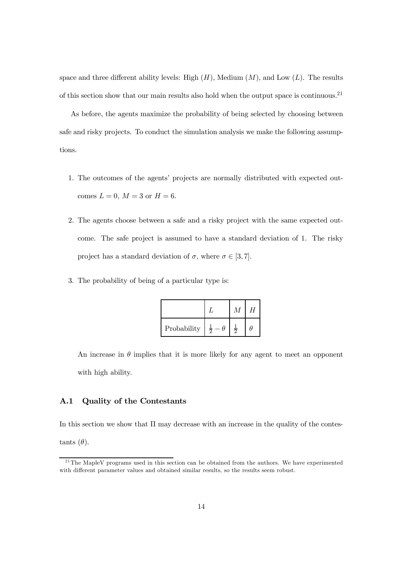space and three different ability levels: High  $(H)$ , Medium  $(M)$ , and Low  $(L)$ . The results of this section show that our main results also hold when the output space is continuous.21

As before, the agents maximize the probability of being selected by choosing between safe and risky projects. To conduct the simulation analysis we make the following assumptions.

- 1. The outcomes of the agents' projects are normally distributed with expected outcomes  $L = 0$ ,  $M = 3$  or  $H = 6$ .
- 2. The agents choose between a safe and a risky project with the same expected outcome. The safe project is assumed to have a standard deviation of 1. The risky project has a standard deviation of  $\sigma$ , where  $\sigma \in [3, 7]$ .
- 3. The probability of being of a particular type is:

|             |             | H |
|-------------|-------------|---|
| Probability | $rac{1}{2}$ | ь |

An increase in  $\theta$  implies that it is more likely for any agent to meet an opponent with high ability.

#### A.1 Quality of the Contestants

In this section we show that  $\Pi$  may decrease with an increase in the quality of the contestants  $(\theta)$ .

<sup>&</sup>lt;sup>21</sup>The MapleV programs used in this section can be obtained from the authors. We have experimented with different parameter values and obtained similar results, so the results seem robust.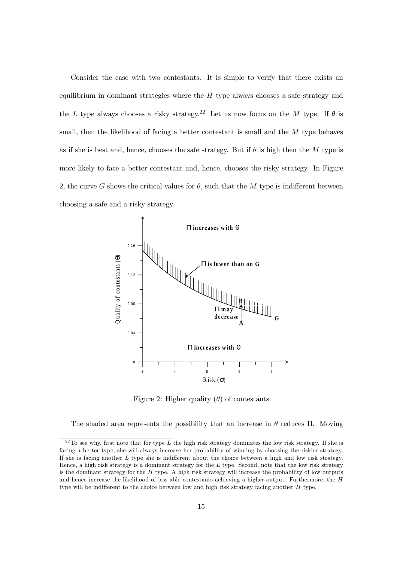Consider the case with two contestants. It is simple to verify that there exists an equilibrium in dominant strategies where the  $H$  type always chooses a safe strategy and the L type always chooses a risky strategy.<sup>22</sup> Let us now focus on the M type. If  $\theta$  is small, then the likelihood of facing a better contestant is small and the M type behaves as if she is best and, hence, chooses the safe strategy. But if  $\theta$  is high then the M type is more likely to face a better contestant and, hence, chooses the risky strategy. In Figure 2, the curve G shows the critical values for  $\theta$ , such that the M type is indifferent between choosing a safe and a risky strategy.



Figure 2: Higher quality  $(\theta)$  of contestants

The shaded area represents the possibility that an increase in  $\theta$  reduces  $\Pi$ . Moving

 $^{22}$ To see why, first note that for type L the high risk strategy dominates the low risk strategy. If she is facing a better type, she will always increase her probability of winning by choosing the riskier strategy. If she is facing another  $L$  type she is indifferent about the choice between a high and low risk strategy. Hence, a high risk strategy is a dominant strategy for the L type. Second, note that the low risk strategy is the dominant strategy for the  $H$  type. A high risk strategy will increase the probability of low outputs and hence increase the likelihood of less able contestants achieving a higher output. Furthermore, the H type will be indifferent to the choice between low and high risk strategy facing another  $H$  type.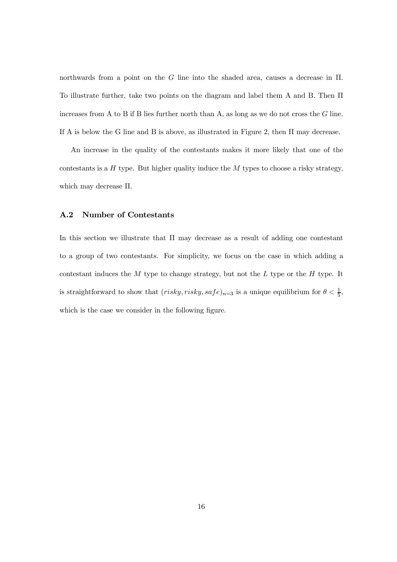northwards from a point on the  $G$  line into the shaded area, causes a decrease in  $\Pi$ . To illustrate further, take two points on the diagram and label them A and B. Then  $\Pi$ increases from A to B if B lies further north than A, as long as we do not cross the  $G$  line. If A is below the G line and B is above, as illustrated in Figure 2, then  $\Pi$  may decrease.

An increase in the quality of the contestants makes it more likely that one of the contestants is a  $H$  type. But higher quality induce the  $M$  types to choose a risky strategy, which may decrease  $\Pi$ .

#### A.2 Number of Contestants

In this section we illustrate that  $\Pi$  may decrease as a result of adding one contestant to a group of two contestants. For simplicity, we focus on the case in which adding a contestant induces the  $M$  type to change strategy, but not the  $L$  type or the  $H$  type. It is straightforward to show that  $(risky, risky, safe)_{n=3}$  is a unique equilibrium for  $\theta < \frac{1}{5}$ , which is the case we consider in the following figure.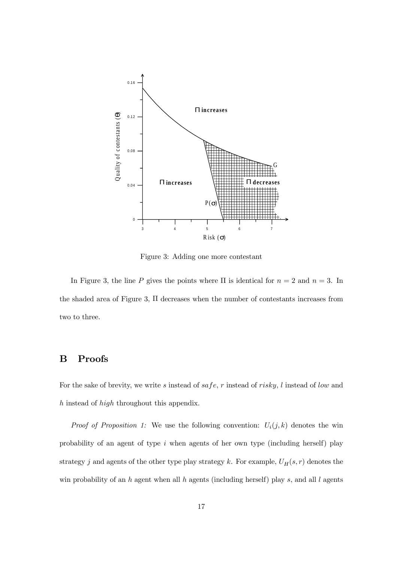

Figure 3: Adding one more contestant

In Figure 3, the line P gives the points where  $\Pi$  is identical for  $n = 2$  and  $n = 3$ . In the shaded area of Figure 3,  $\Pi$  decreases when the number of contestants increases from two to three.

### B Proofs

For the sake of brevity, we write  $s$  instead of  $safe, r$  instead of  $risky, l$  instead of low and  $h$  instead of  $high$  throughout this appendix.

*Proof of Proposition 1:* We use the following convention:  $U_i(j, k)$  denotes the win probability of an agent of type  $i$  when agents of her own type (including herself) play strategy j and agents of the other type play strategy k. For example,  $U_H(s, r)$  denotes the win probability of an h agent when all h agents (including herself) play  $s$ , and all  $l$  agents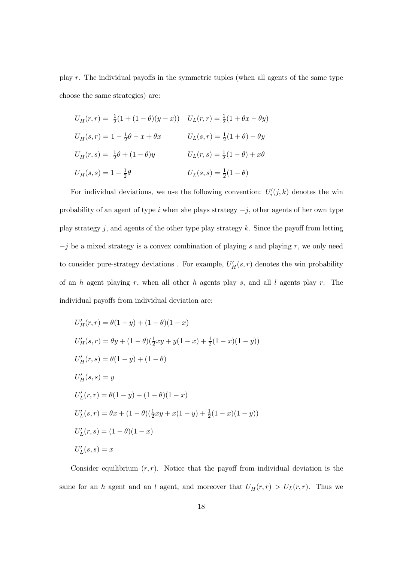play  $r$ . The individual payoffs in the symmetric tuples (when all agents of the same type choose the same strategies) are:

$$
U_H(r,r) = \frac{1}{2}(1 + (1 - \theta)(y - x)) \quad U_L(r,r) = \frac{1}{2}(1 + \theta x - \theta y)
$$
  
\n
$$
U_H(s,r) = 1 - \frac{1}{2}\theta - x + \theta x \qquad U_L(s,r) = \frac{1}{2}(1 + \theta) - \theta y
$$
  
\n
$$
U_H(r,s) = \frac{1}{2}\theta + (1 - \theta)y \qquad U_L(r,s) = \frac{1}{2}(1 - \theta) + x\theta
$$
  
\n
$$
U_H(s,s) = 1 - \frac{1}{2}\theta \qquad U_L(s,s) = \frac{1}{2}(1 - \theta)
$$

For individual deviations, we use the following convention:  $U_i'(j, k)$  denotes the win probability of an agent of type i when she plays strategy  $-j$ , other agents of her own type play strategy  $j$ , and agents of the other type play strategy k. Since the payoff from letting  $-j$  be a mixed strategy is a convex combination of playing s and playing r, we only need to consider pure-strategy deviations. For example,  $U_H'(s,r)$  denotes the win probability of an  $h$  agent playing  $r$ , when all other  $h$  agents play  $s$ , and all  $l$  agents play  $r$ . The individual payoffs from individual deviation are:

$$
U'_H(r,r) = \theta(1-y) + (1-\theta)(1-x)
$$
  
\n
$$
U'_H(s,r) = \theta y + (1-\theta)(\frac{1}{2}xy + y(1-x) + \frac{1}{2}(1-x)(1-y))
$$
  
\n
$$
U'_H(r,s) = \theta(1-y) + (1-\theta)
$$
  
\n
$$
U'_H(s,s) = y
$$
  
\n
$$
U'_L(r,r) = \theta(1-y) + (1-\theta)(1-x)
$$
  
\n
$$
U'_L(s,r) = \theta x + (1-\theta)(\frac{1}{2}xy + x(1-y) + \frac{1}{2}(1-x)(1-y))
$$
  
\n
$$
U'_L(r,s) = (1-\theta)(1-x)
$$
  
\n
$$
U'_L(s,s) = x
$$

Consider equilibrium  $(r, r)$ . Notice that the payoff from individual deviation is the same for an h agent and an l agent, and moreover that  $U_H(r,r) > U_L(r,r)$ . Thus we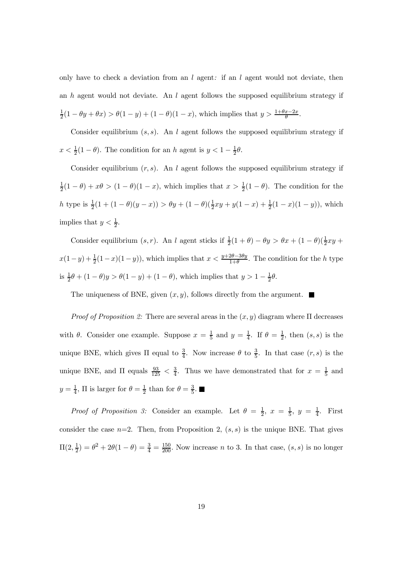only have to check a deviation from an  $l$  agent: if an  $l$  agent would not deviate, then an  $h$  agent would not deviate. An  $l$  agent follows the supposed equilibrium strategy if  $\frac{1}{2}(1 - \theta y + \theta x) > \theta(1 - y) + (1 - \theta)(1 - x)$ , which implies that  $y > \frac{1 + \theta x - 2x}{\theta}$ .

Consider equilibrium  $(s, s)$ . An l agent follows the supposed equilibrium strategy if  $x < \frac{1}{2}(1 - \theta)$ . The condition for an h agent is  $y < 1 - \frac{1}{2}\theta$ .

Consider equilibrium  $(r, s)$ . An l agent follows the supposed equilibrium strategy if  $\frac{1}{2}(1-\theta)+x\theta>(1-\theta)(1-x)$ , which implies that  $x>\frac{1}{2}(1-\theta)$ . The condition for the h type is  $\frac{1}{2}(1 + (1 - \theta)(y - x)) > \theta y + (1 - \theta)(\frac{1}{2}xy + y(1 - x) + \frac{1}{2}(1 - x)(1 - y))$ , which implies that  $y < \frac{1}{2}$ .

Consider equilibrium  $(s, r)$ . An l agent sticks if  $\frac{1}{2}(1 + \theta) - \theta y > \theta x + (1 - \theta)(\frac{1}{2}xy +$  $x(1-y) + \frac{1}{2}(1-x)(1-y)$ , which implies that  $x < \frac{y+2\theta-3\theta y}{1+\theta}$ . The condition for the h type is  $\frac{1}{2}\theta + (1 - \theta)y > \theta(1 - y) + (1 - \theta)$ , which implies that  $y > 1 - \frac{1}{2}\theta$ .

The uniqueness of BNE, given  $(x, y)$ , follows directly from the argument.

*Proof of Proposition 2:* There are several areas in the  $(x, y)$  diagram where  $\Pi$  decreases with  $\theta$ . Consider one example. Suppose  $x = \frac{1}{5}$  and  $y = \frac{1}{4}$ . If  $\theta = \frac{1}{2}$ , then  $(s, s)$  is the unique BNE, which gives  $\Pi$  equal to  $\frac{3}{4}$ . Now increase  $\theta$  to  $\frac{3}{5}$ . In that case  $(r, s)$  is the unique BNE, and  $\Pi$  equals  $\frac{93}{125} < \frac{3}{4}$ . Thus we have demonstrated that for  $x = \frac{1}{5}$  and  $y = \frac{1}{4}$ ,  $\Pi$  is larger for  $\theta = \frac{1}{2}$  than for  $\theta = \frac{3}{5}$ .

*Proof of Proposition 3:* Consider an example. Let  $\theta = \frac{1}{2}$ ,  $x = \frac{1}{5}$ ,  $y = \frac{1}{4}$ . First consider the case  $n=2$ . Then, from Proposition 2,  $(s, s)$  is the unique BNE. That gives  $\Pi(2, \frac{1}{2}) = \theta^2 + 2\theta(1 - \theta) = \frac{3}{4} = \frac{150}{200}$ . Now increase *n* to 3. In that case,  $(s, s)$  is no longer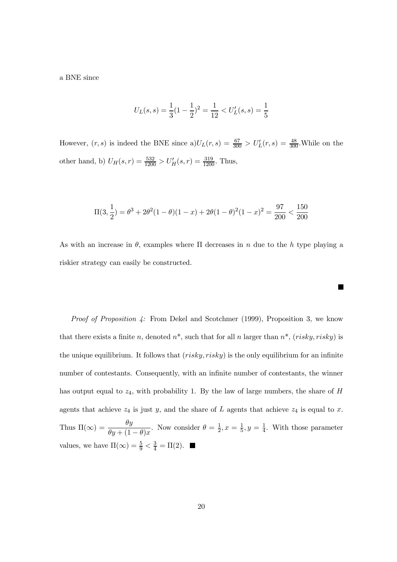a BNE since

$$
U_L(s,s) = \frac{1}{3}(1 - \frac{1}{2})^2 = \frac{1}{12} < U'_L(s,s) = \frac{1}{5}
$$

However,  $(r, s)$  is indeed the BNE since  $a)U_L(r, s) = \frac{67}{300} > U'_L(r, s) = \frac{48}{300}$ . While on the other hand, b)  $U_H(s,r) = \frac{532}{1200} > U'_H(s,r) = \frac{319}{1200}$ . Thus,

$$
\Pi(3, \frac{1}{2}) = \theta^3 + 2\theta^2(1 - \theta)(1 - x) + 2\theta(1 - \theta)^2(1 - x)^2 = \frac{97}{200} < \frac{150}{200}
$$

As with an increase in  $\theta$ , examples where  $\Pi$  decreases in n due to the h type playing a riskier strategy can easily be constructed.

 $\blacksquare$ 

Proof of Proposition 4: From Dekel and Scotchmer (1999), Proposition 3, we know that there exists a finite n, denoted  $n^*$ , such that for all n larger than  $n^*$ , (risky, risky) is the unique equilibrium. It follows that  $(risky, risky)$  is the only equilibrium for an infinite number of contestants. Consequently, with an infinite number of contestants, the winner has output equal to  $z_4$ , with probability 1. By the law of large numbers, the share of  $H$ agents that achieve  $z_4$  is just y, and the share of L agents that achieve  $z_4$  is equal to x. Thus  $\Pi(\infty) = \frac{\theta y}{\theta y + (1 - \theta)x}$ . Now consider  $\theta = \frac{1}{2}, x = \frac{1}{5}, y = \frac{1}{4}$ . With those parameter values, we have  $\Pi(\infty) = \frac{5}{9} < \frac{3}{4} = \Pi(2)$ .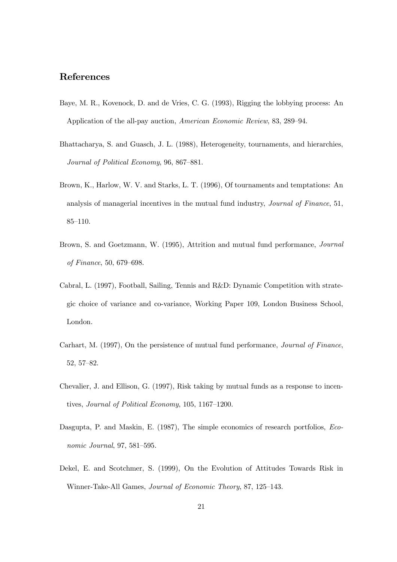### References

- Baye, M. R., Kovenock, D. and de Vries, C. G. (1993), Rigging the lobbying process: An Application of the all-pay auction, American Economic Review, 83, 289–94.
- Bhattacharya, S. and Guasch, J. L. (1988), Heterogeneity, tournaments, and hierarchies, Journal of Political Economy, 96, 867–881.
- Brown, K., Harlow, W. V. and Starks, L. T. (1996), Of tournaments and temptations: An analysis of managerial incentives in the mutual fund industry, Journal of Finance, 51, 85–110.
- Brown, S. and Goetzmann, W. (1995), Attrition and mutual fund performance, Journal of Finance, 50, 679–698.
- Cabral, L. (1997), Football, Sailing, Tennis and R&D: Dynamic Competition with strategic choice of variance and co-variance, Working Paper 109, London Business School, London.
- Carhart, M. (1997), On the persistence of mutual fund performance, Journal of Finance, 52, 57–82.
- Chevalier, J. and Ellison, G. (1997), Risk taking by mutual funds as a response to incentives, Journal of Political Economy, 105, 1167–1200.
- Dasgupta, P. and Maskin, E. (1987), The simple economics of research portfolios, Economic Journal, 97, 581–595.
- Dekel, E. and Scotchmer, S. (1999), On the Evolution of Attitudes Towards Risk in Winner-Take-All Games, Journal of Economic Theory, 87, 125–143.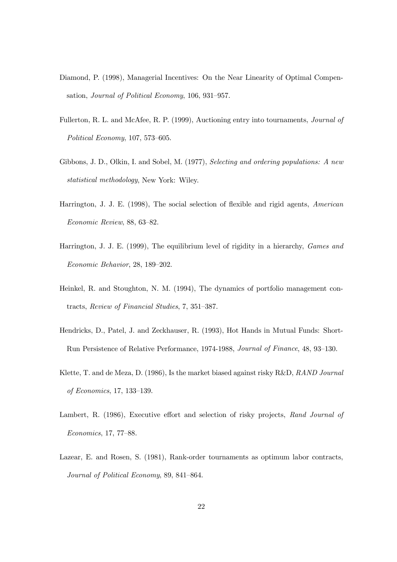- Diamond, P. (1998), Managerial Incentives: On the Near Linearity of Optimal Compensation, Journal of Political Economy, 106, 931–957.
- Fullerton, R. L. and McAfee, R. P. (1999), Auctioning entry into tournaments, Journal of Political Economy, 107, 573–605.
- Gibbons, J. D., Olkin, I. and Sobel, M. (1977), Selecting and ordering populations: A new statistical methodology, New York: Wiley.
- Harrington, J. J. E. (1998), The social selection of flexible and rigid agents, American Economic Review, 88, 63–82.
- Harrington, J. J. E. (1999), The equilibrium level of rigidity in a hierarchy, Games and Economic Behavior, 28, 189–202.
- Heinkel, R. and Stoughton, N. M. (1994), The dynamics of portfolio management contracts, Review of Financial Studies, 7, 351–387.
- Hendricks, D., Patel, J. and Zeckhauser, R. (1993), Hot Hands in Mutual Funds: Short-Run Persistence of Relative Performance, 1974-1988, Journal of Finance, 48, 93–130.
- Klette, T. and de Meza, D. (1986), Is the market biased against risky R&D, RAND Journal of Economics, 17, 133–139.
- Lambert, R. (1986), Executive effort and selection of risky projects, Rand Journal of Economics, 17, 77–88.
- Lazear, E. and Rosen, S. (1981), Rank-order tournaments as optimum labor contracts, Journal of Political Economy, 89, 841–864.